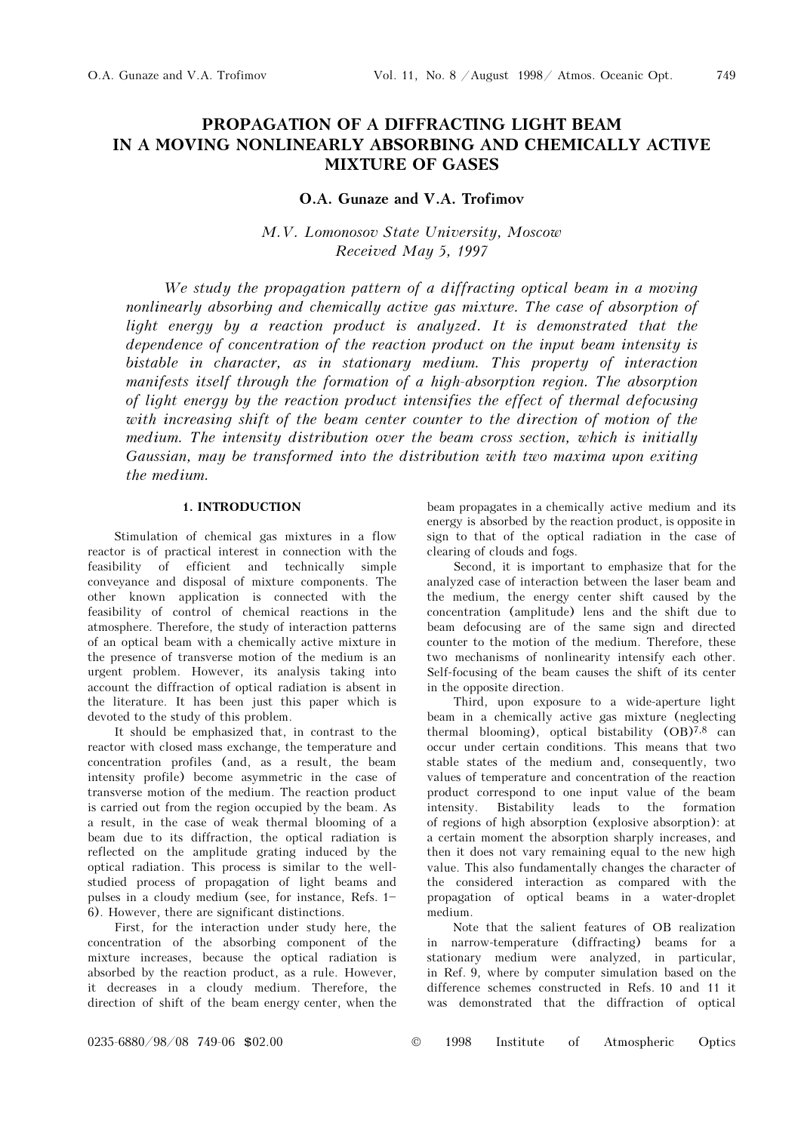# PROPAGATION OF A DIFFRACTING LIGHT BEAM IN A MOVING NONLINEARLY ABSORBING AND CHEMICALLY ACTIVE MIXTURE OF GASES

# O.A. Gunaze and V.A. Trofimov

M.V. Lomonosov State University, Moscow Received May 5, 1997

We study the propagation pattern of a diffracting optical beam in a moving nonlinearly absorbing and chemically active gas mixture. The case of absorption of light energy by a reaction product is analyzed. It is demonstrated that the dependence of concentration of the reaction product on the input beam intensity is bistable in character, as in stationary medium. This property of interaction manifests itself through the formation of a high-absorption region. The absorption of light energy by the reaction product intensifies the effect of thermal defocusing with increasing shift of the beam center counter to the direction of motion of the medium. The intensity distribution over the beam cross section, which is initially Gaussian, may be transformed into the distribution with two maxima upon exiting the medium.

# 1. INTRODUCTION

Stimulation of chemical gas mixtures in a flow reactor is of practical interest in connection with the feasibility of efficient and technically simple conveyance and disposal of mixture components. The other known application is connected with the feasibility of control of chemical reactions in the atmosphere. Therefore, the study of interaction patterns of an optical beam with a chemically active mixture in the presence of transverse motion of the medium is an urgent problem. However, its analysis taking into account the diffraction of optical radiation is absent in the literature. It has been just this paper which is devoted to the study of this problem.

It should be emphasized that, in contrast to the reactor with closed mass exchange, the temperature and concentration profiles (and, as a result, the beam intensity profile) become asymmetric in the case of transverse motion of the medium. The reaction product is carried out from the region occupied by the beam. As a result, in the case of weak thermal blooming of a beam due to its diffraction, the optical radiation is reflected on the amplitude grating induced by the optical radiation. This process is similar to the wellstudied process of propagation of light beams and pulses in a cloudy medium (see, for instance, Refs.  $1-$ 6). However, there are significant distinctions.

First, for the interaction under study here, the concentration of the absorbing component of the mixture increases, because the optical radiation is absorbed by the reaction product, as a rule. However, it decreases in a cloudy medium. Therefore, the direction of shift of the beam energy center, when the beam propagates in a chemically active medium and its energy is absorbed by the reaction product, is opposite in sign to that of the optical radiation in the case of clearing of clouds and fogs.

Second, it is important to emphasize that for the analyzed case of interaction between the laser beam and the medium, the energy center shift caused by the concentration (amplitude) lens and the shift due to beam defocusing are of the same sign and directed counter to the motion of the medium. Therefore, these two mechanisms of nonlinearity intensify each other. Self-focusing of the beam causes the shift of its center in the opposite direction.

Third, upon exposure to a wide-aperture light beam in a chemically active gas mixture (neglecting thermal blooming), optical bistability  $(OB)^{7,8}$  can occur under certain conditions. This means that two stable states of the medium and, consequently, two values of temperature and concentration of the reaction product correspond to one input value of the beam intensity. Bistability leads to the formation of regions of high absorption (explosive absorption): at a certain moment the absorption sharply increases, and then it does not vary remaining equal to the new high value. This also fundamentally changes the character of the considered interaction as compared with the propagation of optical beams in a water-droplet medium.

Note that the salient features of OB realization in narrow-temperature (diffracting) beams for a stationary medium were analyzed, in particular, in Ref. 9, where by computer simulation based on the difference schemes constructed in Refs. 10 and 11 it was demonstrated that the diffraction of optical

0235-6880/98/08 749-06 \$02.00 © 1998 Institute of Atmospheric Optics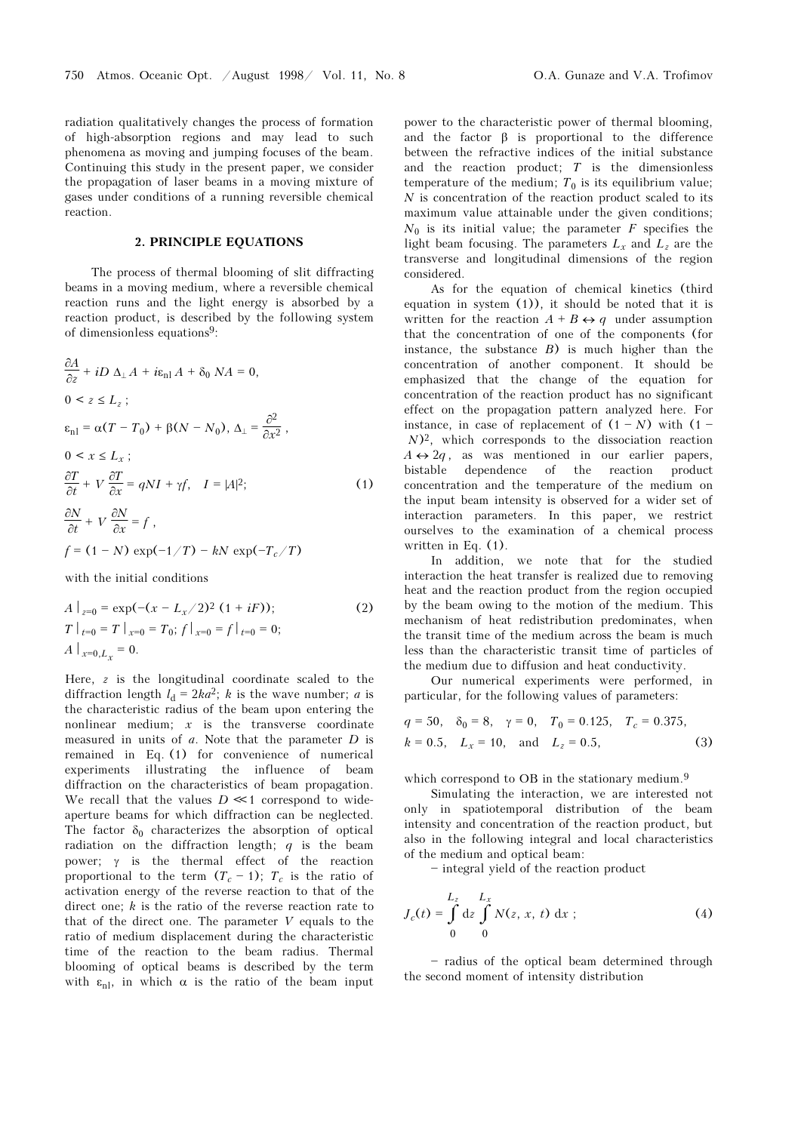radiation qualitatively changes the process of formation of high-absorption regions and may lead to such phenomena as moving and jumping focuses of the beam. Continuing this study in the present paper, we consider the propagation of laser beams in a moving mixture of gases under conditions of a running reversible chemical reaction.

### 2. PRINCIPLE EQUATIONS

The process of thermal blooming of slit diffracting beams in a moving medium, where a reversible chemical reaction runs and the light energy is absorbed by a reaction product, is described by the following system of dimensionless equations9:

$$
\frac{\partial A}{\partial z} + iD \Delta_{\perp} A + i\epsilon_{\text{nl}} A + \delta_0 N A = 0,
$$
  
\n
$$
0 < z \le L_z ;
$$
  
\n
$$
\epsilon_{\text{nl}} = \alpha (T - T_0) + \beta (N - N_0), \Delta_{\perp} = \frac{\partial^2}{\partial x^2},
$$
  
\n
$$
0 < x \le L_x ;
$$
  
\n
$$
\frac{\partial T}{\partial t} + V \frac{\partial T}{\partial x} = q N I + \gamma f, \quad I = |A|^2 ;
$$
  
\n
$$
\frac{\partial N}{\partial t} + V \frac{\partial N}{\partial x} = f,
$$
  
\n
$$
f = (1 - N) \exp(-1/T) - kN \exp(-T_c/T)
$$

with the initial conditions

$$
A \Big|_{z=0} = \exp(-(x - L_x/2)^2 (1 + iF));
$$
  
\n
$$
T \Big|_{t=0} = T \Big|_{x=0} = T_0; f \Big|_{x=0} = f \Big|_{t=0} = 0;
$$
  
\n
$$
A \Big|_{x=0, L_x} = 0.
$$
\n(2)

Here, z is the longitudinal coordinate scaled to the diffraction length  $l_d = 2ka^2$ ; k is the wave number; a is the characteristic radius of the beam upon entering the nonlinear medium;  $x$  is the transverse coordinate measured in units of  $a$ . Note that the parameter  $D$  is remained in Eq. (1) for convenience of numerical experiments illustrating the influence of beam diffraction on the characteristics of beam propagation. We recall that the values  $D \ll 1$  correspond to wideaperture beams for which diffraction can be neglected. The factor  $\delta_0$  characterizes the absorption of optical radiation on the diffraction length;  $q$  is the beam power; γ is the thermal effect of the reaction proportional to the term  $(T_c - 1)$ ;  $T_c$  is the ratio of activation energy of the reverse reaction to that of the direct one;  $k$  is the ratio of the reverse reaction rate to that of the direct one. The parameter  $V$  equals to the ratio of medium displacement during the characteristic time of the reaction to the beam radius. Thermal blooming of optical beams is described by the term with  $\varepsilon_{nl}$ , in which  $\alpha$  is the ratio of the beam input

power to the characteristic power of thermal blooming, and the factor  $\beta$  is proportional to the difference between the refractive indices of the initial substance and the reaction product;  $T$  is the dimensionless temperature of the medium;  $T_0$  is its equilibrium value;  $N$  is concentration of the reaction product scaled to its maximum value attainable under the given conditions;  $N_0$  is its initial value; the parameter F specifies the light beam focusing. The parameters  $L<sub>r</sub>$  and  $L<sub>z</sub>$  are the transverse and longitudinal dimensions of the region considered.

As for the equation of chemical kinetics (third equation in system  $(1)$ , it should be noted that it is written for the reaction  $A + B \leftrightarrow q$  under assumption that the concentration of one of the components (for instance, the substance  $B$ ) is much higher than the concentration of another component. It should be emphasized that the change of the equation for concentration of the reaction product has no significant effect on the propagation pattern analyzed here. For instance, in case of replacement of  $(1 - N)$  with  $(1 (N)^2$ , which corresponds to the dissociation reaction  $A \leftrightarrow 2q$ , as was mentioned in our earlier papers, bistable dependence of the reaction product concentration and the temperature of the medium on the input beam intensity is observed for a wider set of interaction parameters. In this paper, we restrict ourselves to the examination of a chemical process written in Eq. (1).

In addition, we note that for the studied interaction the heat transfer is realized due to removing heat and the reaction product from the region occupied by the beam owing to the motion of the medium. This mechanism of heat redistribution predominates, when the transit time of the medium across the beam is much less than the characteristic transit time of particles of the medium due to diffusion and heat conductivity.

Our numerical experiments were performed, in particular, for the following values of parameters:

$$
q = 50
$$
,  $\delta_0 = 8$ ,  $\gamma = 0$ ,  $T_0 = 0.125$ ,  $T_c = 0.375$ ,  
\n $k = 0.5$ ,  $L_x = 10$ , and  $L_z = 0.5$ , (3)

which correspond to OB in the stationary medium.<sup>9</sup>

Simulating the interaction, we are interested not only in spatiotemporal distribution of the beam intensity and concentration of the reaction product, but also in the following integral and local characteristics of the medium and optical beam:

 $-$  integral yield of the reaction product

$$
J_c(t) = \int_0^{L_z} dz \int_0^{L_x} N(z, x, t) dx ;
$$
 (4)

- radius of the optical beam determined through the second moment of intensity distribution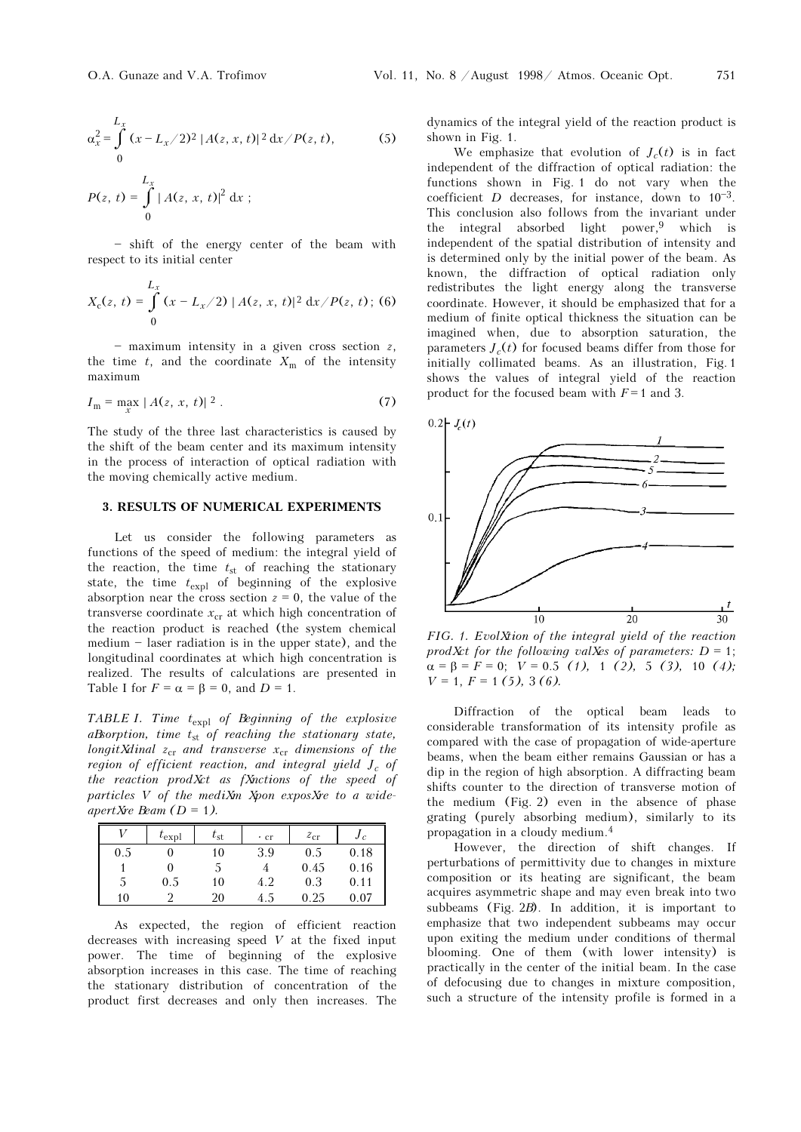$$
\alpha_x^2 = \int_0^{L_x} (x - L_x/2)^2 |A(z, x, t)|^2 dx / P(z, t),
$$
(5)  

$$
P(z, t) = \int_0^{L_x} |A(z, x, t)|^2 dx ;
$$

 $-$  shift of the energy center of the beam with respect to its initial center

$$
X_c(z, t) = \int_0^{L_x} (x - L_x/2) |A(z, x, t)|^2 dx / P(z, t);
$$
 (6)

 $-$  maximum intensity in a given cross section  $z$ , the time t, and the coordinate  $X_m$  of the intensity maximum

$$
I_{\rm m} = \max_{x} |A(z, x, t)|^2.
$$
 (7)

The study of the three last characteristics is caused by the shift of the beam center and its maximum intensity in the process of interaction of optical radiation with the moving chemically active medium.

## 3. RESULTS OF NUMERICAL EXPERIMENTS

Let us consider the following parameters as functions of the speed of medium: the integral yield of the reaction, the time  $t_{st}$  of reaching the stationary state, the time  $t_{\text{expl}}$  of beginning of the explosive absorption near the cross section  $z = 0$ , the value of the transverse coordinate  $x_{cr}$  at which high concentration of the reaction product is reached (the system chemical  $median - laser$  radiation is in the upper state), and the longitudinal coordinates at which high concentration is realized. The results of calculations are presented in Table I for  $F = \alpha = \beta = 0$ , and  $D = 1$ .

TABLE I. Time  $t_{\text{expl}}$  of Beginning of the explosive aBsorption, time  $t_{st}$  of reaching the stationary state, longit Xdinal  $z_{cr}$  and transverse  $x_{cr}$  dimensions of the region of efficient reaction, and integral yield  $J_c$  of the reaction prod $Xct$  as fXnctions of the speed of particles  $V$  of the mediXm Xpon exposXre to a wideapertXre Beam  $(D = 1)$ .

|              | $\iota_{\text{expl}}$ | $t_{\rm st}$ | $\cdot$ cr | $z_{\rm cr}$ | Jc   |
|--------------|-----------------------|--------------|------------|--------------|------|
| 0.5          |                       | 10           | 3.9        | 0.5          | 0.18 |
|              |                       |              |            | 0.45         | 0.16 |
| <sub>5</sub> | 0.5                   | 10           | 4.2        | 0.3          | 0.11 |
| 10           |                       | 20           | 4.5        | $0.25\,$     | 0.07 |

As expected, the region of efficient reaction decreases with increasing speed  $V$  at the fixed input power. The time of beginning of the explosive absorption increases in this case. The time of reaching the stationary distribution of concentration of the product first decreases and only then increases. The dynamics of the integral yield of the reaction product is shown in Fig. 1.

We emphasize that evolution of  $J_c(t)$  is in fact independent of the diffraction of optical radiation: the functions shown in Fig. 1 do not vary when the coefficient  $D$  decreases, for instance, down to  $10^{-3}$ . This conclusion also follows from the invariant under the integral absorbed light power,<sup>9</sup> which is independent of the spatial distribution of intensity and is determined only by the initial power of the beam. As known, the diffraction of optical radiation only redistributes the light energy along the transverse coordinate. However, it should be emphasized that for a medium of finite optical thickness the situation can be imagined when, due to absorption saturation, the parameters  $J_c(t)$  for focused beams differ from those for initially collimated beams. As an illustration, Fig. 1 shows the values of integral yield of the reaction product for the focused beam with  $F=1$  and 3.



FIG. 1. Evol $X$ tion of the integral yield of the reaction prodXct for the following valXes of parameters:  $D = 1$ ;  $\alpha = \beta = F = 0; \quad V = 0.5$  (1), 1 (2), 5 (3), 10 (4);  $V = 1, F = 1 (5), 3 (6).$ 

Diffraction of the optical beam leads to considerable transformation of its intensity profile as compared with the case of propagation of wide-aperture beams, when the beam either remains Gaussian or has a dip in the region of high absorption. A diffracting beam shifts counter to the direction of transverse motion of the medium (Fig. 2) even in the absence of phase grating (purely absorbing medium), similarly to its propagation in a cloudy medium.<sup>4</sup>

However, the direction of shift changes. If perturbations of permittivity due to changes in mixture composition or its heating are significant, the beam acquires asymmetric shape and may even break into two subbeams (Fig.  $2B$ ). In addition, it is important to emphasize that two independent subbeams may occur upon exiting the medium under conditions of thermal blooming. One of them (with lower intensity) is practically in the center of the initial beam. In the case of defocusing due to changes in mixture composition, such a structure of the intensity profile is formed in a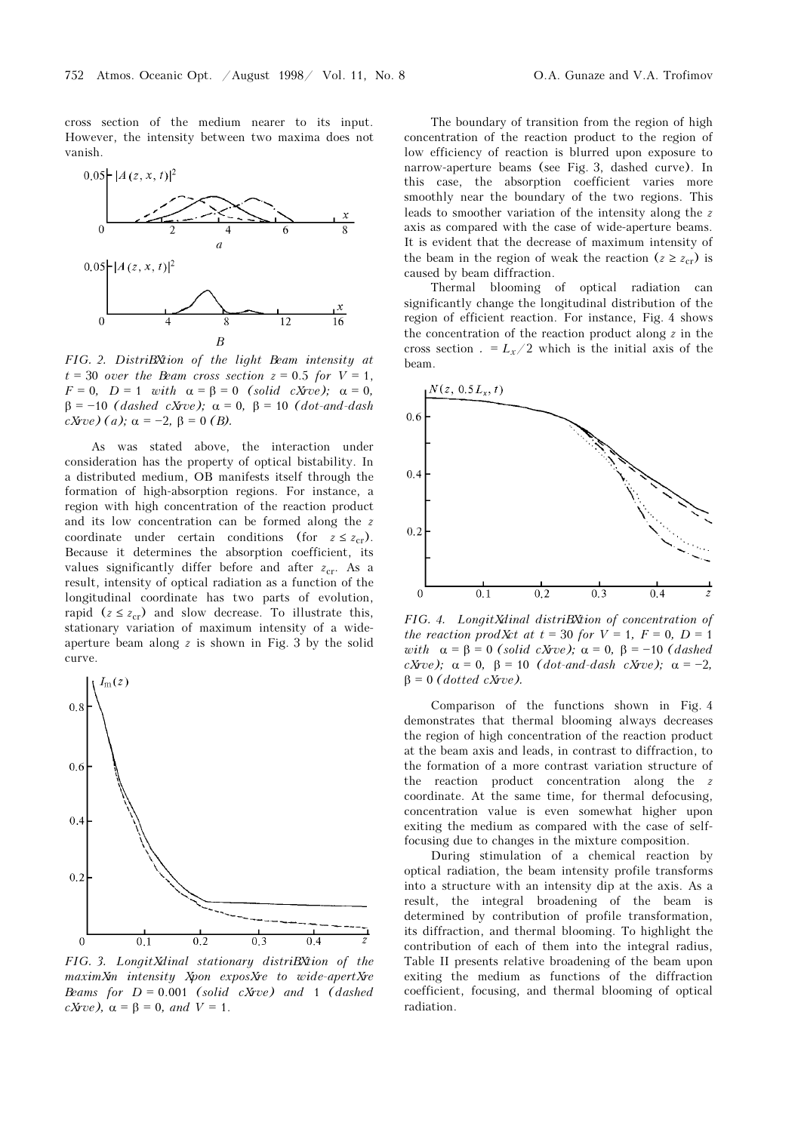cross section of the medium nearer to its input. However, the intensity between two maxima does not vanish.



FIG. 2. DistriBXtion of the light Beam intensity at  $t = 30$  over the Beam cross section  $z = 0.5$  for  $V = 1$ ,  $F = 0$ ,  $D = 1$  with  $\alpha = \beta = 0$  (solid cXrve);  $\alpha = 0$ ,  $\beta = -10$  (dashed cXrve);  $\alpha = 0$ ,  $\beta = 10$  (dot-and-dash cXrve) (a);  $\alpha = -2$ , β = 0 (B).

As was stated above, the interaction under consideration has the property of optical bistability. In a distributed medium, OB manifests itself through the formation of high-absorption regions. For instance, a region with high concentration of the reaction product and its low concentration can be formed along the z coordinate under certain conditions (for  $z \leq z_{cr}$ ). Because it determines the absorption coefficient, its values significantly differ before and after  $z_{cr}$ . As a result, intensity of optical radiation as a function of the longitudinal coordinate has two parts of evolution, rapid ( $z \le z_{cr}$ ) and slow decrease. To illustrate this, stationary variation of maximum intensity of a wideaperture beam along  $z$  is shown in Fig. 3 by the solid curve.



FIG. 3. LongitXdinal stationary distriBXtion of the  $maximum$  intensity  $X$ pon expos $X$ re to wide-apert $X$ re Beams for  $D = 0.001$  (solid cXrve) and 1 (dashed  $cXrve$ ,  $\alpha = \beta = 0$ , and  $V = 1$ .

The boundary of transition from the region of high concentration of the reaction product to the region of low efficiency of reaction is blurred upon exposure to narrow-aperture beams (see Fig. 3, dashed curve). In this case, the absorption coefficient varies more smoothly near the boundary of the two regions. This leads to smoother variation of the intensity along the z axis as compared with the case of wide-aperture beams. It is evident that the decrease of maximum intensity of the beam in the region of weak the reaction  $(z \geq z_{cr})$  is caused by beam diffraction.

Thermal blooming of optical radiation can significantly change the longitudinal distribution of the region of efficient reaction. For instance, Fig. 4 shows the concentration of the reaction product along  $z$  in the cross section . =  $L_x/2$  which is the initial axis of the beam.



FIG. 4. LongitXdinal distriBXtion of concentration of the reaction prod $Xct$  at  $t = 30$  for  $V = 1$ ,  $F = 0$ ,  $D = 1$ with  $\alpha = \beta = 0$  (solid cXrve);  $\alpha = 0$ ,  $\beta = -10$  (dashed cXrve);  $\alpha = 0$ ,  $\beta = 10$  (dot-and-dash cXrve);  $\alpha = -2$ ,  $β = 0$  (dotted cXrve).

Comparison of the functions shown in Fig. 4 demonstrates that thermal blooming always decreases the region of high concentration of the reaction product at the beam axis and leads, in contrast to diffraction, to the formation of a more contrast variation structure of the reaction product concentration along the z coordinate. At the same time, for thermal defocusing, concentration value is even somewhat higher upon exiting the medium as compared with the case of selffocusing due to changes in the mixture composition.

During stimulation of a chemical reaction by optical radiation, the beam intensity profile transforms into a structure with an intensity dip at the axis. As a result, the integral broadening of the beam is determined by contribution of profile transformation, its diffraction, and thermal blooming. To highlight the contribution of each of them into the integral radius, Table II presents relative broadening of the beam upon exiting the medium as functions of the diffraction coefficient, focusing, and thermal blooming of optical radiation.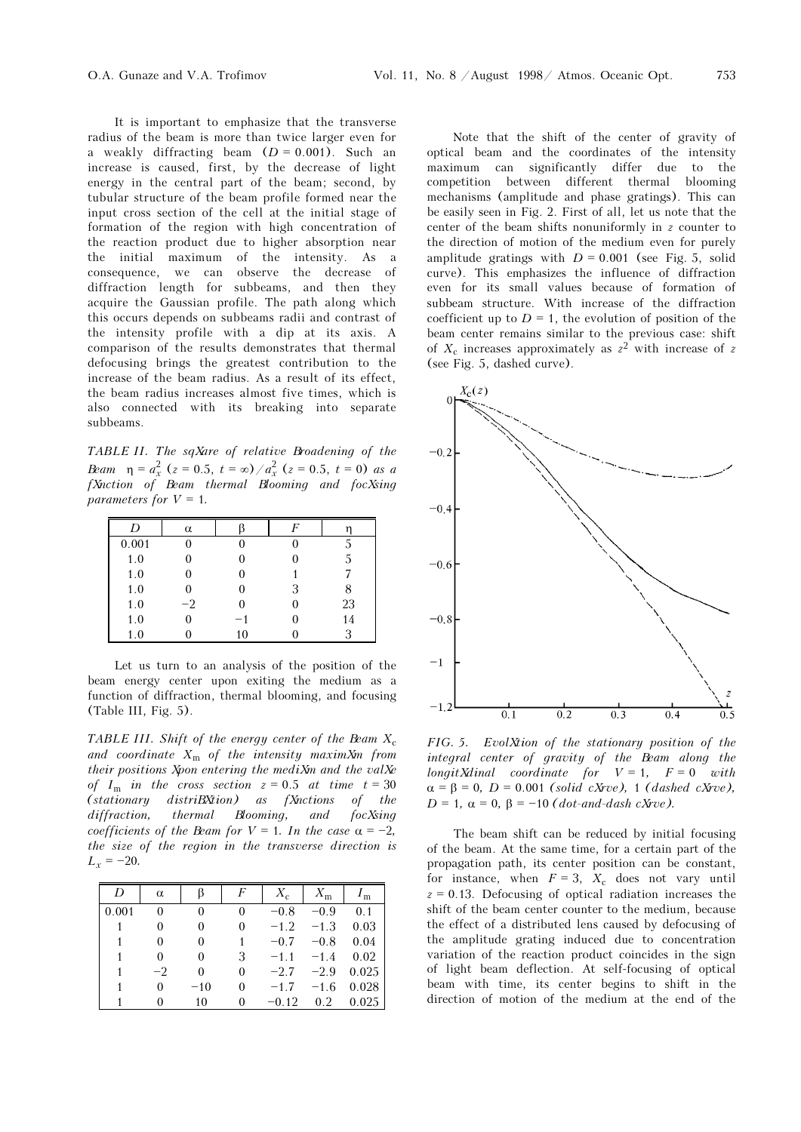It is important to emphasize that the transverse radius of the beam is more than twice larger even for a weakly diffracting beam  $(D = 0.001)$ . Such an increase is caused, first, by the decrease of light energy in the central part of the beam; second, by tubular structure of the beam profile formed near the input cross section of the cell at the initial stage of formation of the region with high concentration of the reaction product due to higher absorption near the initial maximum of the intensity. As a consequence, we can observe the decrease of diffraction length for subbeams, and then they acquire the Gaussian profile. The path along which this occurs depends on subbeams radii and contrast of the intensity profile with a dip at its axis. A comparison of the results demonstrates that thermal defocusing brings the greatest contribution to the increase of the beam radius. As a result of its effect, the beam radius increases almost five times, which is also connected with its breaking into separate subbeams.

TABLE II. The sqXare of relative Broadening of the Beam  $\eta = a_x^2$  (z = 0.5, t =  $\infty$ )/ $a_x^2$  (z = 0.5, t = 0) as a fXnction of Beam thermal Blooming and focXsing parameters for  $V = 1$ .

|       | α    |    |   |    |
|-------|------|----|---|----|
| 0.001 |      |    |   |    |
| 1.0   |      |    |   |    |
| 1.0   |      |    |   |    |
| 1.0   |      |    | 3 |    |
| 1.0   | $-2$ |    |   | 23 |
| 1.0   |      |    |   | 14 |
| 1.0   |      | 10 |   |    |

Let us turn to an analysis of the position of the beam energy center upon exiting the medium as a function of diffraction, thermal blooming, and focusing (Table III, Fig. 5).

TABLE III. Shift of the energy center of the Beam  $X_c$ and coordinate  $X_m$  of the intensity maxim $X_m$  from their positions Xpon entering the mediXm and the valXe of  $I_m$  in the cross section  $z = 0.5$  at time  $t = 30$  $(stationary\ -distribution)$  as  $fX$ nctions of the  $differential$   $Booming$ , and  $focX sing$ coefficients of the Beam for  $V = 1$ . In the case  $\alpha = -2$ , the size of the region in the transverse direction is  $L_r = -20.$ 

| D     | $\alpha$ |       |          | $X_c$   | $X_{\rm m}$ | $I_{\rm m}$ |
|-------|----------|-------|----------|---------|-------------|-------------|
| 0.001 | 0        | 0     | 0        | $-0.8$  | $-0.9$      | 0.1         |
|       | 0        | 0     | 0        | $-1.2$  | $-1.3$      | 0.03        |
|       | 0        | 0     |          | $-0.7$  | $-0.8$      | 0.04        |
|       | 0        | 0     | 3        | $-1.1$  | $-1.4$      | 0.02        |
|       | -2       | 0     | $\theta$ | $-2.7$  | $-2.9$      | 0.025       |
|       | 0        | $-10$ | 0        | $-1.7$  | $-1.6$      | 0.028       |
|       |          | 10    | 0        | $-0.12$ | 0.2         | 0.025       |

Note that the shift of the center of gravity of optical beam and the coordinates of the intensity maximum can significantly differ due to the competition between different thermal blooming mechanisms (amplitude and phase gratings). This can be easily seen in Fig. 2. First of all, let us note that the center of the beam shifts nonuniformly in z counter to the direction of motion of the medium even for purely amplitude gratings with  $D = 0.001$  (see Fig. 5, solid curve). This emphasizes the influence of diffraction even for its small values because of formation of subbeam structure. With increase of the diffraction coefficient up to  $D = 1$ , the evolution of position of the beam center remains similar to the previous case: shift of  $X_c$  increases approximately as  $z^2$  with increase of z (see Fig. 5, dashed curve).



 $FIG. 5.$  EvolXtion of the stationary position of the integral center of gravity of the beam along the  $longitXdinal$  coordinate for  $V = 1$ ,  $F = 0$  with  $\alpha = \beta = 0$ ,  $D = 0.001$  (solid cXrve), 1 (dashed cXrve),  $D = 1$ ,  $\alpha = 0$ ,  $\beta = -10$  (dot-and-dash cXrve).

The beam shift can be reduced by initial focusing of the beam. At the same time, for a certain part of the propagation path, its center position can be constant, for instance, when  $F = 3$ ,  $X_c$  does not vary until  $z = 0.13$ . Defocusing of optical radiation increases the shift of the beam center counter to the medium, because the effect of a distributed lens caused by defocusing of the amplitude grating induced due to concentration variation of the reaction product coincides in the sign of light beam deflection. At self-focusing of optical beam with time, its center begins to shift in the direction of motion of the medium at the end of the